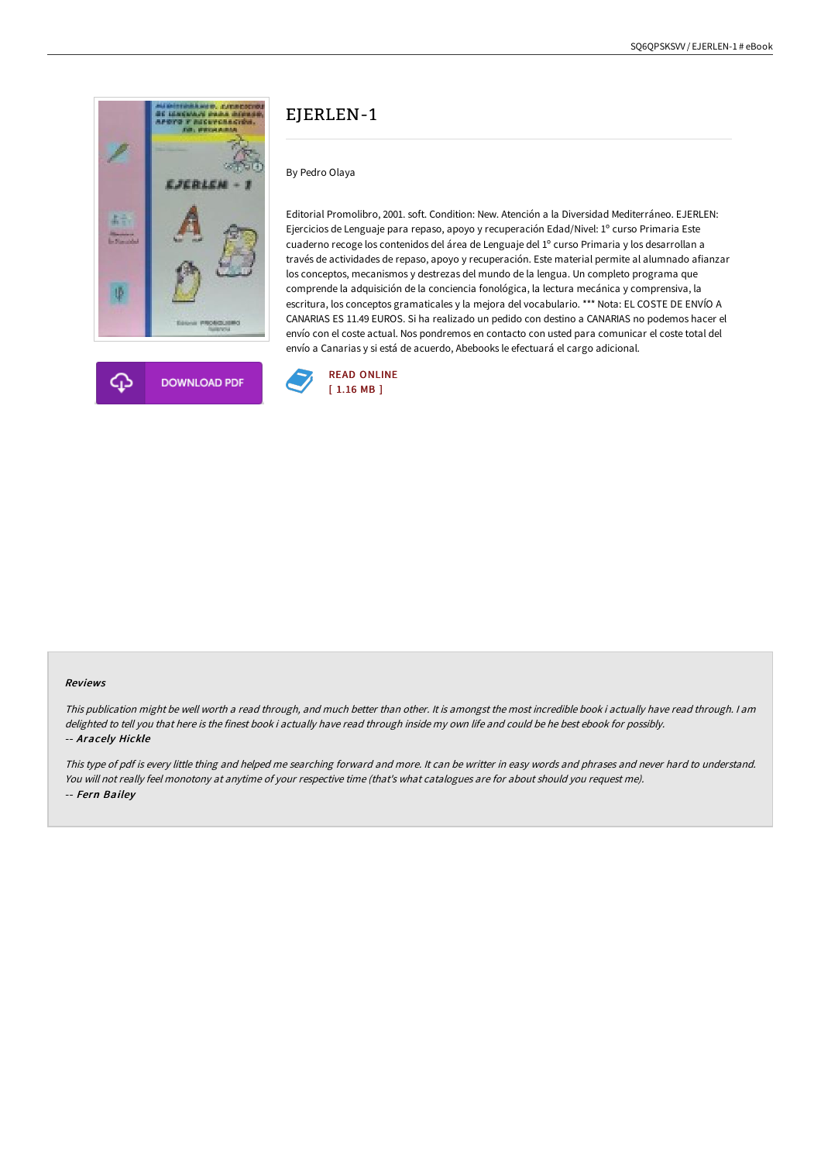

# EIERLEN-1

By Pedro Olaya

Editorial Promolibro, 2001. soft. Condition: New. Atención a la Diversidad Mediterráneo. EJERLEN: Ejercicios de Lenguaje para repaso, apoyo y recuperación Edad/Nivel: 1º curso Primaria Este cuaderno recoge los contenidos del área de Lenguaje del 1º curso Primaria y los desarrollan a través de actividades de repaso, apoyo y recuperación. Este material permite al alumnado afianzar los conceptos, mecanismos y destrezas del mundo de la lengua. Un completo programa que comprende la adquisición de la conciencia fonológica, la lectura mecánica y comprensiva, la escritura, los conceptos gramaticales y la mejora del vocabulario. \*\*\* Nota: EL COSTE DE ENVÍO A CANARIAS ES 11.49 EUROS. Si ha realizado un pedido con destino a CANARIAS no podemos hacer el envío con el coste actual. Nos pondremos en contacto con usted para comunicar el coste total del envío a Canarias y si está de acuerdo, Abebooks le efectuará el cargo adicional.



#### Reviews

This publication might be well worth <sup>a</sup> read through, and much better than other. It is amongst the most incredible book i actually have read through. I am delighted to tell you that here is the finest book i actually have read through inside my own life and could be he best ebook for possibly. -- Aracely Hickle

This type of pdf is every little thing and helped me searching forward and more. It can be writter in easy words and phrases and never hard to understand. You will not really feel monotony at anytime of your respective time (that's what catalogues are for about should you request me). -- Fern Bailey